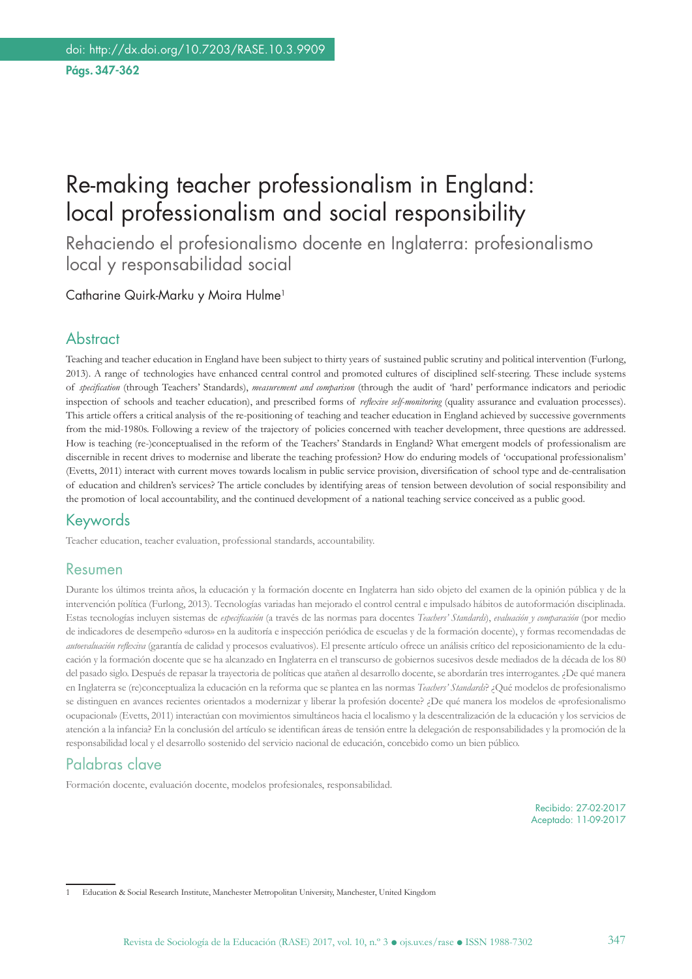# Re-making teacher professionalism in England: local professionalism and social responsibility

Rehaciendo el profesionalismo docente en Inglaterra: profesionalismo local y responsabilidad social

Catharine Quirk-Marku y Moira Hulme1

#### **Abstract**

Teaching and teacher education in England have been subject to thirty years of sustained public scrutiny and political intervention (Furlong, 2013). A range of technologies have enhanced central control and promoted cultures of disciplined self-steering. These include systems of *specification* (through Teachers' Standards), *measurement and comparison* (through the audit of 'hard' performance indicators and periodic inspection of schools and teacher education), and prescribed forms of *reflexive self-monitoring* (quality assurance and evaluation processes). This article offers a critical analysis of the re-positioning of teaching and teacher education in England achieved by successive governments from the mid-1980s. Following a review of the trajectory of policies concerned with teacher development, three questions are addressed. How is teaching (re-)conceptualised in the reform of the Teachers' Standards in England? What emergent models of professionalism are discernible in recent drives to modernise and liberate the teaching profession? How do enduring models of 'occupational professionalism' (Evetts, 2011) interact with current moves towards localism in public service provision, diversification of school type and de-centralisation of education and children's services? The article concludes by identifying areas of tension between devolution of social responsibility and the promotion of local accountability, and the continued development of a national teaching service conceived as a public good.

#### Keywords

Teacher education, teacher evaluation, professional standards, accountability.

#### Resumen

Durante los últimos treinta años, la educación y la formación docente en Inglaterra han sido objeto del examen de la opinión pública y de la intervención política (Furlong, 2013). Tecnologías variadas han mejorado el control central e impulsado hábitos de autoformación disciplinada. Estas tecnologías incluyen sistemas de *especificación* (a través de las normas para docentes *Teachers' Standards*), *evaluación y comparación* (por medio de indicadores de desempeño «duros» en la auditoría e inspección periódica de escuelas y de la formación docente), y formas recomendadas de *autoevaluación reflexiva* (garantía de calidad y procesos evaluativos). El presente artículo ofrece un análisis crítico del reposicionamiento de la educación y la formación docente que se ha alcanzado en Inglaterra en el transcurso de gobiernos sucesivos desde mediados de la década de los 80 del pasado siglo. Después de repasar la trayectoria de políticas que atañen al desarrollo docente, se abordarán tres interrogantes. ¿De qué manera en Inglaterra se (re)conceptualiza la educación en la reforma que se plantea en las normas *Teachers' Standards*? ¿Qué modelos de profesionalismo se distinguen en avances recientes orientados a modernizar y liberar la profesión docente? ¿De qué manera los modelos de «profesionalismo ocupacional» (Evetts, 2011) interactúan con movimientos simultáneos hacia el localismo y la descentralización de la educación y los servicios de atención a la infancia? En la conclusión del artículo se identifican áreas de tensión entre la delegación de responsabilidades y la promoción de la responsabilidad local y el desarrollo sostenido del servicio nacional de educación, concebido como un bien público.

#### Palabras clave

Formación docente, evaluación docente, modelos profesionales, responsabilidad.

Recibido: 27-02-2017 Aceptado: 11-09-2017

1 Education & Social Research Institute, Manchester Metropolitan University, Manchester, United Kingdom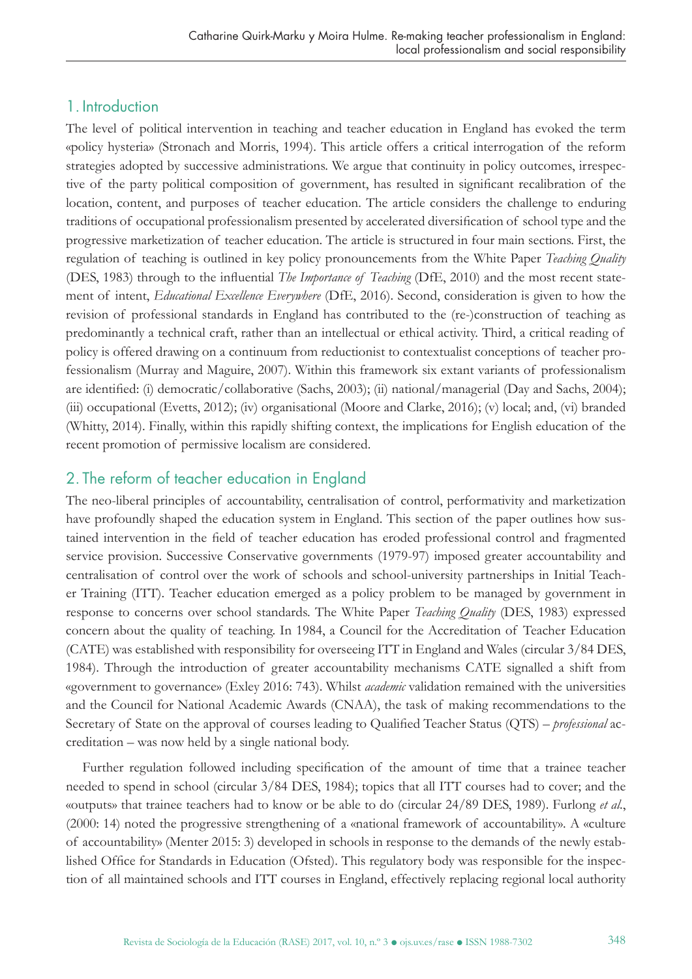#### 1. Introduction

The level of political intervention in teaching and teacher education in England has evoked the term «policy hysteria» (Stronach and Morris, 1994). This article offers a critical interrogation of the reform strategies adopted by successive administrations. We argue that continuity in policy outcomes, irrespective of the party political composition of government, has resulted in significant recalibration of the location, content, and purposes of teacher education. The article considers the challenge to enduring traditions of occupational professionalism presented by accelerated diversification of school type and the progressive marketization of teacher education. The article is structured in four main sections. First, the regulation of teaching is outlined in key policy pronouncements from the White Paper *Teaching Quality* (DES, 1983) through to the influential *The Importance of Teaching* (DfE, 2010) and the most recent statement of intent, *Educational Excellence Everywhere* (DfE, 2016). Second, consideration is given to how the revision of professional standards in England has contributed to the (re-)construction of teaching as predominantly a technical craft, rather than an intellectual or ethical activity. Third, a critical reading of policy is offered drawing on a continuum from reductionist to contextualist conceptions of teacher professionalism (Murray and Maguire, 2007). Within this framework six extant variants of professionalism are identified: (i) democratic/collaborative (Sachs, 2003); (ii) national/managerial (Day and Sachs, 2004); (iii) occupational (Evetts, 2012); (iv) organisational (Moore and Clarke, 2016); (v) local; and, (vi) branded (Whitty, 2014). Finally, within this rapidly shifting context, the implications for English education of the recent promotion of permissive localism are considered.

# 2. The reform of teacher education in England

The neo-liberal principles of accountability, centralisation of control, performativity and marketization have profoundly shaped the education system in England. This section of the paper outlines how sustained intervention in the field of teacher education has eroded professional control and fragmented service provision. Successive Conservative governments (1979-97) imposed greater accountability and centralisation of control over the work of schools and school-university partnerships in Initial Teacher Training (ITT). Teacher education emerged as a policy problem to be managed by government in response to concerns over school standards. The White Paper *Teaching Quality* (DES, 1983) expressed concern about the quality of teaching. In 1984, a Council for the Accreditation of Teacher Education (CATE) was established with responsibility for overseeing ITT in England and Wales (circular 3/84 DES, 1984). Through the introduction of greater accountability mechanisms CATE signalled a shift from «government to governance» (Exley 2016: 743). Whilst *academic* validation remained with the universities and the Council for National Academic Awards (CNAA), the task of making recommendations to the Secretary of State on the approval of courses leading to Qualified Teacher Status (QTS) – *professional* accreditation – was now held by a single national body.

Further regulation followed including specification of the amount of time that a trainee teacher needed to spend in school (circular 3/84 DES, 1984); topics that all ITT courses had to cover; and the «outputs» that trainee teachers had to know or be able to do (circular 24/89 DES, 1989). Furlong *et al*., (2000: 14) noted the progressive strengthening of a «national framework of accountability». A «culture of accountability» (Menter 2015: 3) developed in schools in response to the demands of the newly established Office for Standards in Education (Ofsted). This regulatory body was responsible for the inspection of all maintained schools and ITT courses in England, effectively replacing regional local authority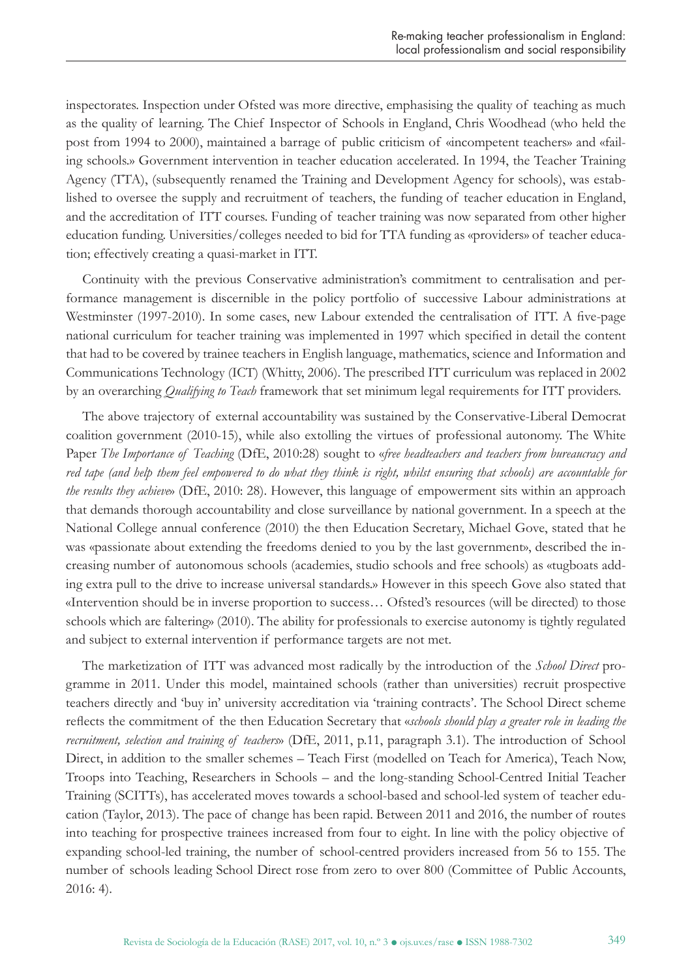inspectorates. Inspection under Ofsted was more directive, emphasising the quality of teaching as much as the quality of learning. The Chief Inspector of Schools in England, Chris Woodhead (who held the post from 1994 to 2000), maintained a barrage of public criticism of «incompetent teachers» and «failing schools.» Government intervention in teacher education accelerated. In 1994, the Teacher Training Agency (TTA), (subsequently renamed the Training and Development Agency for schools), was established to oversee the supply and recruitment of teachers, the funding of teacher education in England, and the accreditation of ITT courses. Funding of teacher training was now separated from other higher education funding. Universities/colleges needed to bid for TTA funding as «providers» of teacher education; effectively creating a quasi-market in ITT.

Continuity with the previous Conservative administration's commitment to centralisation and performance management is discernible in the policy portfolio of successive Labour administrations at Westminster (1997-2010). In some cases, new Labour extended the centralisation of ITT. A five-page national curriculum for teacher training was implemented in 1997 which specified in detail the content that had to be covered by trainee teachers in English language, mathematics, science and Information and Communications Technology (ICT) (Whitty, 2006). The prescribed ITT curriculum was replaced in 2002 by an overarching *Qualifying to Teach* framework that set minimum legal requirements for ITT providers.

The above trajectory of external accountability was sustained by the Conservative-Liberal Democrat coalition government (2010-15), while also extolling the virtues of professional autonomy. The White Paper *The Importance of Teaching* (DfE, 2010:28) sought to «*free headteachers and teachers from bureaucracy and red tape (and help them feel empowered to do what they think is right, whilst ensuring that schools) are accountable for the results they achieve*» (DfE, 2010: 28). However, this language of empowerment sits within an approach that demands thorough accountability and close surveillance by national government. In a speech at the National College annual conference (2010) the then Education Secretary, Michael Gove, stated that he was «passionate about extending the freedoms denied to you by the last government», described the increasing number of autonomous schools (academies, studio schools and free schools) as «tugboats adding extra pull to the drive to increase universal standards.» However in this speech Gove also stated that «Intervention should be in inverse proportion to success… Ofsted's resources (will be directed) to those schools which are faltering» (2010). The ability for professionals to exercise autonomy is tightly regulated and subject to external intervention if performance targets are not met.

The marketization of ITT was advanced most radically by the introduction of the *School Direct* programme in 2011. Under this model, maintained schools (rather than universities) recruit prospective teachers directly and 'buy in' university accreditation via 'training contracts'. The School Direct scheme reflects the commitment of the then Education Secretary that «*schools should play a greater role in leading the recruitment, selection and training of teachers*» (DfE, 2011, p.11, paragraph 3.1). The introduction of School Direct, in addition to the smaller schemes – Teach First (modelled on Teach for America), Teach Now, Troops into Teaching, Researchers in Schools – and the long-standing School-Centred Initial Teacher Training (SCITTs), has accelerated moves towards a school-based and school-led system of teacher education (Taylor, 2013). The pace of change has been rapid. Between 2011 and 2016, the number of routes into teaching for prospective trainees increased from four to eight. In line with the policy objective of expanding school-led training, the number of school-centred providers increased from 56 to 155. The number of schools leading School Direct rose from zero to over 800 (Committee of Public Accounts, 2016: 4).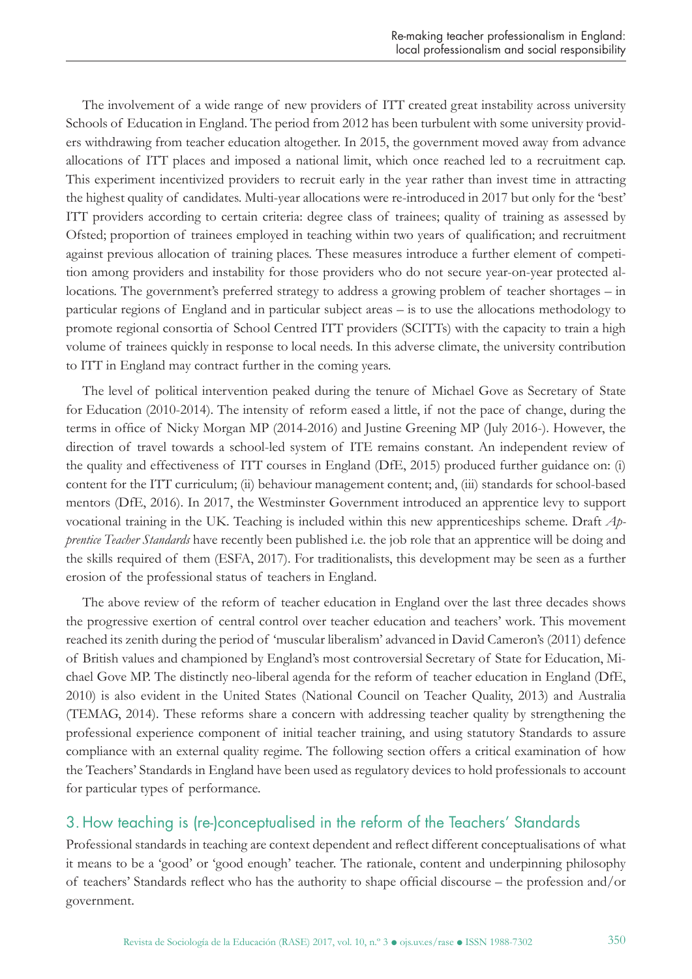The involvement of a wide range of new providers of ITT created great instability across university Schools of Education in England. The period from 2012 has been turbulent with some university providers withdrawing from teacher education altogether. In 2015, the government moved away from advance allocations of ITT places and imposed a national limit, which once reached led to a recruitment cap. This experiment incentivized providers to recruit early in the year rather than invest time in attracting the highest quality of candidates. Multi-year allocations were re-introduced in 2017 but only for the 'best' ITT providers according to certain criteria: degree class of trainees; quality of training as assessed by Ofsted; proportion of trainees employed in teaching within two years of qualification; and recruitment against previous allocation of training places. These measures introduce a further element of competition among providers and instability for those providers who do not secure year-on-year protected allocations. The government's preferred strategy to address a growing problem of teacher shortages – in particular regions of England and in particular subject areas – is to use the allocations methodology to promote regional consortia of School Centred ITT providers (SCITTs) with the capacity to train a high volume of trainees quickly in response to local needs. In this adverse climate, the university contribution to ITT in England may contract further in the coming years.

The level of political intervention peaked during the tenure of Michael Gove as Secretary of State for Education (2010-2014). The intensity of reform eased a little, if not the pace of change, during the terms in office of Nicky Morgan MP (2014-2016) and Justine Greening MP (July 2016-). However, the direction of travel towards a school-led system of ITE remains constant. An independent review of the quality and effectiveness of ITT courses in England (DfE, 2015) produced further guidance on: (i) content for the ITT curriculum; (ii) behaviour management content; and, (iii) standards for school-based mentors (DfE, 2016). In 2017, the Westminster Government introduced an apprentice levy to support vocational training in the UK. Teaching is included within this new apprenticeships scheme. Draft *Apprentice Teacher Standards* have recently been published i.e. the job role that an apprentice will be doing and the skills required of them (ESFA, 2017). For traditionalists, this development may be seen as a further erosion of the professional status of teachers in England.

The above review of the reform of teacher education in England over the last three decades shows the progressive exertion of central control over teacher education and teachers' work. This movement reached its zenith during the period of 'muscular liberalism' advanced in David Cameron's (2011) defence of British values and championed by England's most controversial Secretary of State for Education, Michael Gove MP. The distinctly neo-liberal agenda for the reform of teacher education in England (DfE, 2010) is also evident in the United States (National Council on Teacher Quality, 2013) and Australia (TEMAG, 2014). These reforms share a concern with addressing teacher quality by strengthening the professional experience component of initial teacher training, and using statutory Standards to assure compliance with an external quality regime. The following section offers a critical examination of how the Teachers' Standards in England have been used as regulatory devices to hold professionals to account for particular types of performance.

## 3. How teaching is (re-)conceptualised in the reform of the Teachers' Standards

Professional standards in teaching are context dependent and reflect different conceptualisations of what it means to be a 'good' or 'good enough' teacher. The rationale, content and underpinning philosophy of teachers' Standards reflect who has the authority to shape official discourse – the profession and/or government.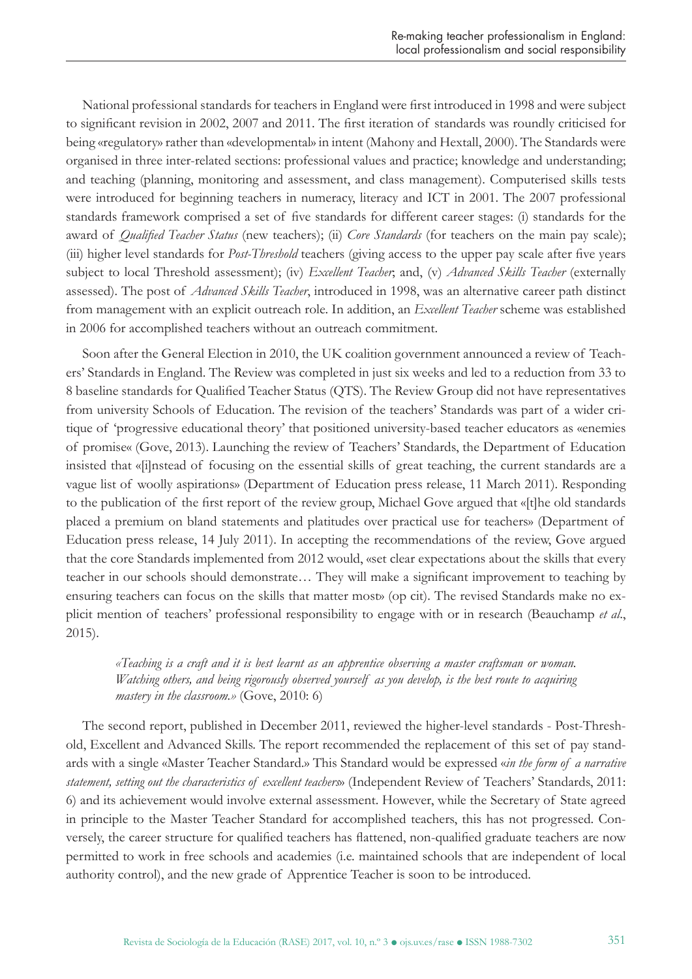National professional standards for teachers in England were first introduced in 1998 and were subject to significant revision in 2002, 2007 and 2011. The first iteration of standards was roundly criticised for being «regulatory» rather than «developmental» in intent (Mahony and Hextall, 2000). The Standards were organised in three inter-related sections: professional values and practice; knowledge and understanding; and teaching (planning, monitoring and assessment, and class management). Computerised skills tests were introduced for beginning teachers in numeracy, literacy and ICT in 2001. The 2007 professional standards framework comprised a set of five standards for different career stages: (i) standards for the award of *Qualified Teacher Status* (new teachers); (ii) *Core Standards* (for teachers on the main pay scale); (iii) higher level standards for *Post-Threshold* teachers (giving access to the upper pay scale after five years subject to local Threshold assessment); (iv) *Excellent Teacher*; and, (v) *Advanced Skills Teacher* (externally assessed). The post of *Advanced Skills Teacher*, introduced in 1998, was an alternative career path distinct from management with an explicit outreach role. In addition, an *Excellent Teacher* scheme was established in 2006 for accomplished teachers without an outreach commitment.

Soon after the General Election in 2010, the UK coalition government announced a review of Teachers' Standards in England. The Review was completed in just six weeks and led to a reduction from 33 to 8 baseline standards for Qualified Teacher Status (QTS). The Review Group did not have representatives from university Schools of Education. The revision of the teachers' Standards was part of a wider critique of 'progressive educational theory' that positioned university-based teacher educators as «enemies of promise« (Gove, 2013). Launching the review of Teachers' Standards, the Department of Education insisted that «[i]nstead of focusing on the essential skills of great teaching, the current standards are a vague list of woolly aspirations» (Department of Education press release, 11 March 2011). Responding to the publication of the first report of the review group, Michael Gove argued that «[t]he old standards placed a premium on bland statements and platitudes over practical use for teachers» (Department of Education press release, 14 July 2011). In accepting the recommendations of the review, Gove argued that the core Standards implemented from 2012 would, «set clear expectations about the skills that every teacher in our schools should demonstrate… They will make a significant improvement to teaching by ensuring teachers can focus on the skills that matter most» (op cit). The revised Standards make no explicit mention of teachers' professional responsibility to engage with or in research (Beauchamp *et al*., 2015).

*«Teaching is a craft and it is best learnt as an apprentice observing a master craftsman or woman. Watching others, and being rigorously observed yourself as you develop, is the best route to acquiring mastery in the classroom.»* (Gove, 2010: 6)

The second report, published in December 2011, reviewed the higher-level standards - Post-Threshold, Excellent and Advanced Skills. The report recommended the replacement of this set of pay standards with a single «Master Teacher Standard.» This Standard would be expressed «*in the form of a narrative statement, setting out the characteristics of excellent teachers*» (Independent Review of Teachers' Standards, 2011: 6) and its achievement would involve external assessment. However, while the Secretary of State agreed in principle to the Master Teacher Standard for accomplished teachers, this has not progressed. Conversely, the career structure for qualified teachers has flattened, non-qualified graduate teachers are now permitted to work in free schools and academies (i.e. maintained schools that are independent of local authority control), and the new grade of Apprentice Teacher is soon to be introduced.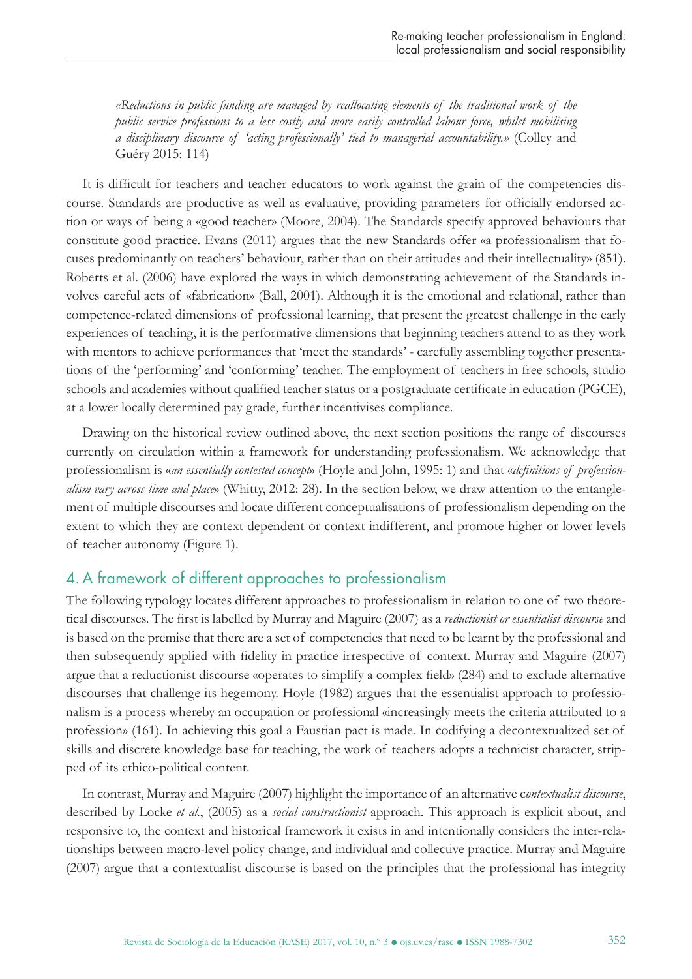*«Reductions in public funding are managed by reallocating elements of the traditional work of the public service professions to a less costly and more easily controlled labour force, whilst mobilising a disciplinary discourse of 'acting professionally' tied to managerial accountability.»* (Colley and Guéry 2015: 114)

It is difficult for teachers and teacher educators to work against the grain of the competencies discourse. Standards are productive as well as evaluative, providing parameters for officially endorsed action or ways of being a «good teacher» (Moore, 2004). The Standards specify approved behaviours that constitute good practice. Evans (2011) argues that the new Standards offer «a professionalism that focuses predominantly on teachers' behaviour, rather than on their attitudes and their intellectuality» (851). Roberts et al. (2006) have explored the ways in which demonstrating achievement of the Standards involves careful acts of «fabrication» (Ball, 2001). Although it is the emotional and relational, rather than competence-related dimensions of professional learning, that present the greatest challenge in the early experiences of teaching, it is the performative dimensions that beginning teachers attend to as they work with mentors to achieve performances that 'meet the standards' - carefully assembling together presentations of the 'performing' and 'conforming' teacher. The employment of teachers in free schools, studio schools and academies without qualified teacher status or a postgraduate certificate in education (PGCE), at a lower locally determined pay grade, further incentivises compliance.

Drawing on the historical review outlined above, the next section positions the range of discourses currently on circulation within a framework for understanding professionalism. We acknowledge that professionalism is «*an essentially contested concept*» (Hoyle and John, 1995: 1) and that «*definitions of professionalism vary across time and place*» (Whitty, 2012: 28). In the section below, we draw attention to the entanglement of multiple discourses and locate different conceptualisations of professionalism depending on the extent to which they are context dependent or context indifferent, and promote higher or lower levels of teacher autonomy (Figure 1).

#### 4.A framework of different approaches to professionalism

The following typology locates different approaches to professionalism in relation to one of two theoretical discourses. The first is labelled by Murray and Maguire (2007) as a *reductionist or essentialist discourse* and is based on the premise that there are a set of competencies that need to be learnt by the professional and then subsequently applied with fidelity in practice irrespective of context. Murray and Maguire (2007) argue that a reductionist discourse «operates to simplify a complex field» (284) and to exclude alternative discourses that challenge its hegemony. Hoyle (1982) argues that the essentialist approach to professionalism is a process whereby an occupation or professional «increasingly meets the criteria attributed to a profession» (161). In achieving this goal a Faustian pact is made. In codifying a decontextualized set of skills and discrete knowledge base for teaching, the work of teachers adopts a technicist character, stripped of its ethico-political content.

In contrast, Murray and Maguire (2007) highlight the importance of an alternative c*ontextualist discourse*, described by Locke *et al*., (2005) as a *social constructionist* approach. This approach is explicit about, and responsive to, the context and historical framework it exists in and intentionally considers the inter-relationships between macro-level policy change, and individual and collective practice. Murray and Maguire (2007) argue that a contextualist discourse is based on the principles that the professional has integrity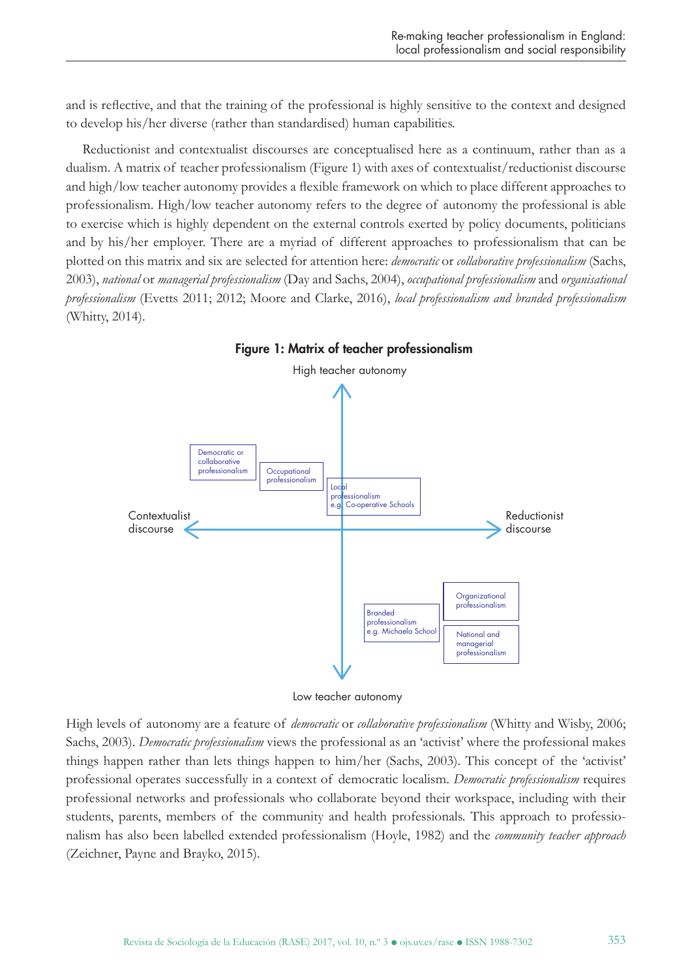and is reflective, and that the training of the professional is highly sensitive to the context and designed to develop his/her diverse (rather than standardised) human capabilities.

Reductionist and contextualist discourses are conceptualised here as a continuum, rather than as a dualism. A matrix of teacher professionalism (Figure 1) with axes of contextualist/reductionist discourse and high/low teacher autonomy provides a flexible framework on which to place different approaches to professionalism. High/low teacher autonomy refers to the degree of autonomy the professional is able to exercise which is highly dependent on the external controls exerted by policy documents, politicians and by his/her employer. There are a myriad of different approaches to professionalism that can be plotted on this matrix and six are selected for attention here: *democratic* or *collaborative professionalism* (Sachs, 2003), *national* or *managerial professionalism* (Day and Sachs, 2004), *occupational professionalism* and *organisational professionalism* (Evetts 2011; 2012; Moore and Clarke, 2016), *local professionalism and branded professionalism*  (Whitty, 2014).





High levels of autonomy are a feature of *democratic* or *collaborative professionalism* (Whitty and Wisby, 2006; Sachs, 2003). *Democratic professionalism* views the professional as an 'activist' where the professional makes things happen rather than lets things happen to him/her (Sachs, 2003). This concept of the 'activist' professional operates successfully in a context of democratic localism. *Democratic professionalism* requires professional networks and professionals who collaborate beyond their workspace, including with their students, parents, members of the community and health professionals. This approach to professionalism has also been labelled extended professionalism (Hoyle, 1982) and the *community teacher approach*  (Zeichner, Payne and Brayko, 2015).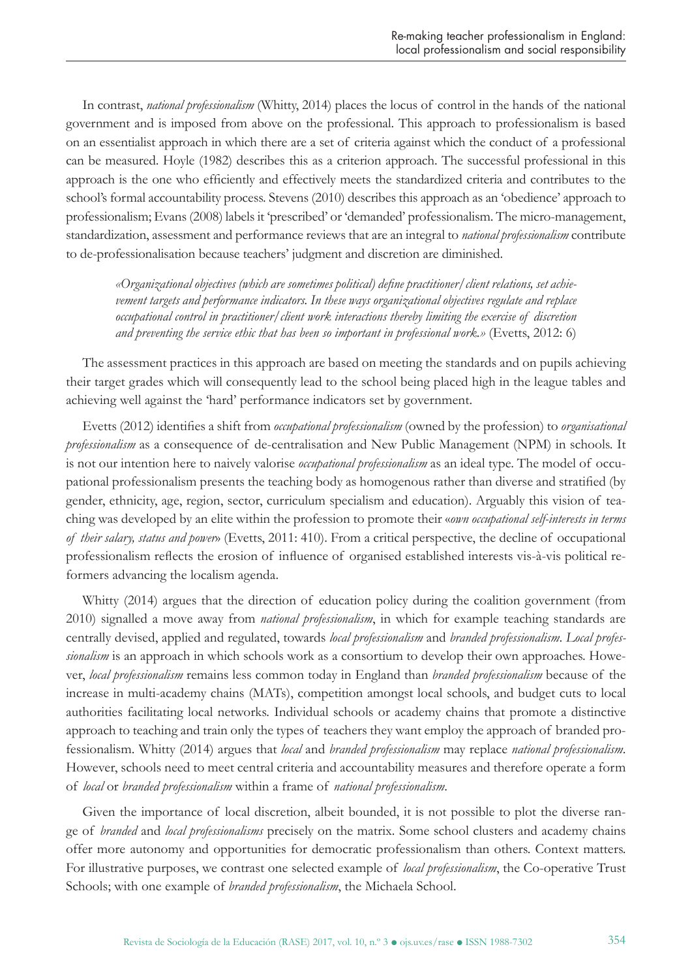In contrast, *national professionalism* (Whitty, 2014) places the locus of control in the hands of the national government and is imposed from above on the professional. This approach to professionalism is based on an essentialist approach in which there are a set of criteria against which the conduct of a professional can be measured. Hoyle (1982) describes this as a criterion approach. The successful professional in this approach is the one who efficiently and effectively meets the standardized criteria and contributes to the school's formal accountability process. Stevens (2010) describes this approach as an 'obedience' approach to professionalism; Evans (2008) labels it 'prescribed' or 'demanded' professionalism. The micro-management, standardization, assessment and performance reviews that are an integral to *national professionalism* contribute to de-professionalisation because teachers' judgment and discretion are diminished.

*«Organizational objectives (which are sometimes political) define practitioner/client relations, set achievement targets and performance indicators. In these ways organizational objectives regulate and replace occupational control in practitioner/client work interactions thereby limiting the exercise of discretion and preventing the service ethic that has been so important in professional work.»* (Evetts, 2012: 6)

The assessment practices in this approach are based on meeting the standards and on pupils achieving their target grades which will consequently lead to the school being placed high in the league tables and achieving well against the 'hard' performance indicators set by government.

Evetts (2012) identifies a shift from *occupational professionalism* (owned by the profession) to *organisational professionalism* as a consequence of de-centralisation and New Public Management (NPM) in schools. It is not our intention here to naively valorise *occupational professionalism* as an ideal type. The model of occupational professionalism presents the teaching body as homogenous rather than diverse and stratified (by gender, ethnicity, age, region, sector, curriculum specialism and education). Arguably this vision of teaching was developed by an elite within the profession to promote their «*own occupational self-interests in terms of their salary, status and power*» (Evetts, 2011: 410). From a critical perspective, the decline of occupational professionalism reflects the erosion of influence of organised established interests vis-à-vis political reformers advancing the localism agenda.

Whitty (2014) argues that the direction of education policy during the coalition government (from 2010) signalled a move away from *national professionalism*, in which for example teaching standards are centrally devised, applied and regulated, towards *local professionalism* and *branded professionalism*. *Local professionalism* is an approach in which schools work as a consortium to develop their own approaches. However, *local professionalism* remains less common today in England than *branded professionalism* because of the increase in multi-academy chains (MATs), competition amongst local schools, and budget cuts to local authorities facilitating local networks. Individual schools or academy chains that promote a distinctive approach to teaching and train only the types of teachers they want employ the approach of branded professionalism. Whitty (2014) argues that *local* and *branded professionalism* may replace *national professionalism*. However, schools need to meet central criteria and accountability measures and therefore operate a form of *local* or *branded professionalism* within a frame of *national professionalism*.

Given the importance of local discretion, albeit bounded, it is not possible to plot the diverse range of *branded* and *local professionalisms* precisely on the matrix. Some school clusters and academy chains offer more autonomy and opportunities for democratic professionalism than others. Context matters. For illustrative purposes, we contrast one selected example of *local professionalism*, the Co-operative Trust Schools; with one example of *branded professionalism*, the Michaela School.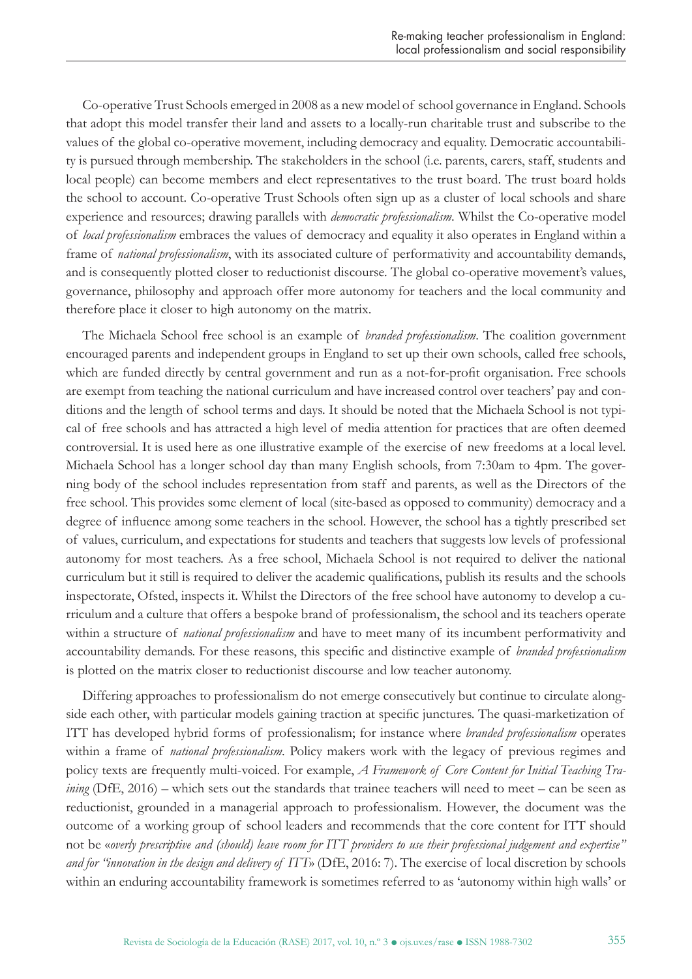Co-operative Trust Schools emerged in 2008 as a new model of school governance in England. Schools that adopt this model transfer their land and assets to a locally-run charitable trust and subscribe to the values of the global co-operative movement, including democracy and equality. Democratic accountability is pursued through membership. The stakeholders in the school (i.e. parents, carers, staff, students and local people) can become members and elect representatives to the trust board. The trust board holds the school to account. Co-operative Trust Schools often sign up as a cluster of local schools and share experience and resources; drawing parallels with *democratic professionalism*. Whilst the Co-operative model of *local professionalism* embraces the values of democracy and equality it also operates in England within a frame of *national professionalism*, with its associated culture of performativity and accountability demands, and is consequently plotted closer to reductionist discourse. The global co-operative movement's values, governance, philosophy and approach offer more autonomy for teachers and the local community and therefore place it closer to high autonomy on the matrix.

The Michaela School free school is an example of *branded professionalism*. The coalition government encouraged parents and independent groups in England to set up their own schools, called free schools, which are funded directly by central government and run as a not-for-profit organisation. Free schools are exempt from teaching the national curriculum and have increased control over teachers' pay and conditions and the length of school terms and days. It should be noted that the Michaela School is not typical of free schools and has attracted a high level of media attention for practices that are often deemed controversial. It is used here as one illustrative example of the exercise of new freedoms at a local level. Michaela School has a longer school day than many English schools, from 7:30am to 4pm. The governing body of the school includes representation from staff and parents, as well as the Directors of the free school. This provides some element of local (site-based as opposed to community) democracy and a degree of influence among some teachers in the school. However, the school has a tightly prescribed set of values, curriculum, and expectations for students and teachers that suggests low levels of professional autonomy for most teachers. As a free school, Michaela School is not required to deliver the national curriculum but it still is required to deliver the academic qualifications, publish its results and the schools inspectorate, Ofsted, inspects it. Whilst the Directors of the free school have autonomy to develop a curriculum and a culture that offers a bespoke brand of professionalism, the school and its teachers operate within a structure of *national professionalism* and have to meet many of its incumbent performativity and accountability demands. For these reasons, this specific and distinctive example of *branded professionalism* is plotted on the matrix closer to reductionist discourse and low teacher autonomy.

Differing approaches to professionalism do not emerge consecutively but continue to circulate alongside each other, with particular models gaining traction at specific junctures. The quasi-marketization of ITT has developed hybrid forms of professionalism; for instance where *branded professionalism* operates within a frame of *national professionalism*. Policy makers work with the legacy of previous regimes and policy texts are frequently multi-voiced. For example, *A Framework of Core Content for Initial Teaching Training* (DfE, 2016) – which sets out the standards that trainee teachers will need to meet – can be seen as reductionist, grounded in a managerial approach to professionalism. However, the document was the outcome of a working group of school leaders and recommends that the core content for ITT should not be «*overly prescriptive and (should) leave room for ITT providers to use their professional judgement and expertise" and for "innovation in the design and delivery of ITT*» (DfE, 2016: 7). The exercise of local discretion by schools within an enduring accountability framework is sometimes referred to as 'autonomy within high walls' or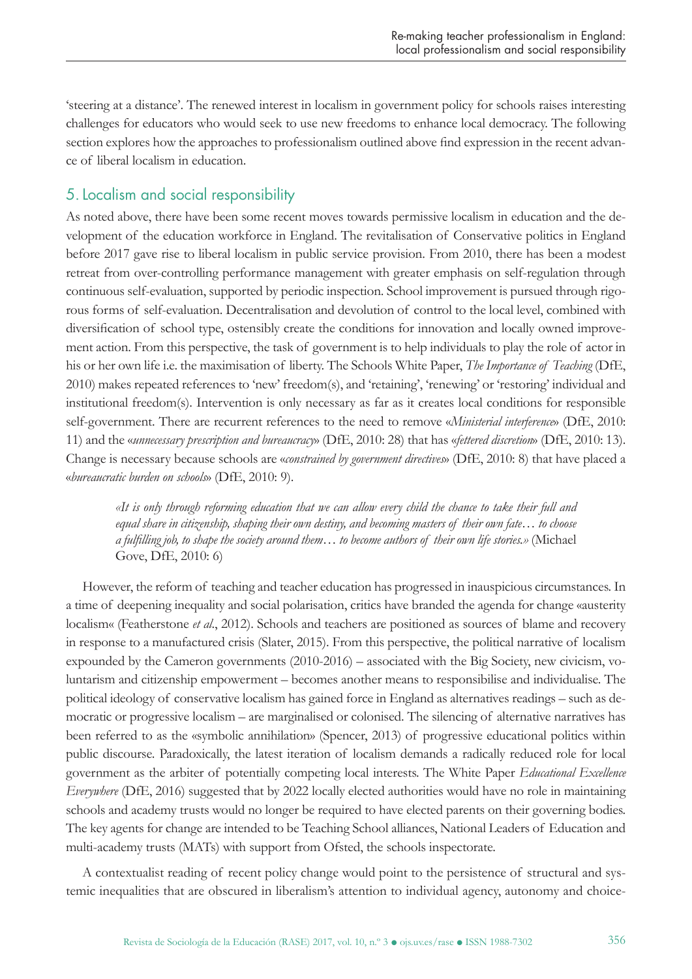'steering at a distance'. The renewed interest in localism in government policy for schools raises interesting challenges for educators who would seek to use new freedoms to enhance local democracy. The following section explores how the approaches to professionalism outlined above find expression in the recent advance of liberal localism in education.

# 5.Localism and social responsibility

As noted above, there have been some recent moves towards permissive localism in education and the development of the education workforce in England. The revitalisation of Conservative politics in England before 2017 gave rise to liberal localism in public service provision. From 2010, there has been a modest retreat from over-controlling performance management with greater emphasis on self-regulation through continuous self-evaluation, supported by periodic inspection. School improvement is pursued through rigorous forms of self-evaluation. Decentralisation and devolution of control to the local level, combined with diversification of school type, ostensibly create the conditions for innovation and locally owned improvement action. From this perspective, the task of government is to help individuals to play the role of actor in his or her own life i.e. the maximisation of liberty. The Schools White Paper, *The Importance of Teaching* (DfE, 2010) makes repeated references to 'new' freedom(s), and 'retaining', 'renewing' or 'restoring' individual and institutional freedom(s). Intervention is only necessary as far as it creates local conditions for responsible self-government. There are recurrent references to the need to remove «*Ministerial interference*» (DfE, 2010: 11) and the «*unnecessary prescription and bureaucracy*» (DfE, 2010: 28) that has «*fettered discretion*» (DfE, 2010: 13). Change is necessary because schools are «*constrained by government directives*» (DfE, 2010: 8) that have placed a «*bureaucratic burden on schools*» (DfE, 2010: 9).

*«It is only through reforming education that we can allow every child the chance to take their full and equal share in citizenship, shaping their own destiny, and becoming masters of their own fate… to choose a fulfilling job, to shape the society around them… to become authors of their own life stories.»* (Michael Gove, DfE, 2010: 6)

However, the reform of teaching and teacher education has progressed in inauspicious circumstances. In a time of deepening inequality and social polarisation, critics have branded the agenda for change «austerity localism« (Featherstone *et al*., 2012). Schools and teachers are positioned as sources of blame and recovery in response to a manufactured crisis (Slater, 2015). From this perspective, the political narrative of localism expounded by the Cameron governments (2010-2016) – associated with the Big Society, new civicism, voluntarism and citizenship empowerment – becomes another means to responsibilise and individualise. The political ideology of conservative localism has gained force in England as alternatives readings – such as democratic or progressive localism – are marginalised or colonised. The silencing of alternative narratives has been referred to as the «symbolic annihilation» (Spencer, 2013) of progressive educational politics within public discourse. Paradoxically, the latest iteration of localism demands a radically reduced role for local government as the arbiter of potentially competing local interests. The White Paper *Educational Excellence Everywhere* (DfE, 2016) suggested that by 2022 locally elected authorities would have no role in maintaining schools and academy trusts would no longer be required to have elected parents on their governing bodies. The key agents for change are intended to be Teaching School alliances, National Leaders of Education and multi-academy trusts (MATs) with support from Ofsted, the schools inspectorate.

A contextualist reading of recent policy change would point to the persistence of structural and systemic inequalities that are obscured in liberalism's attention to individual agency, autonomy and choice-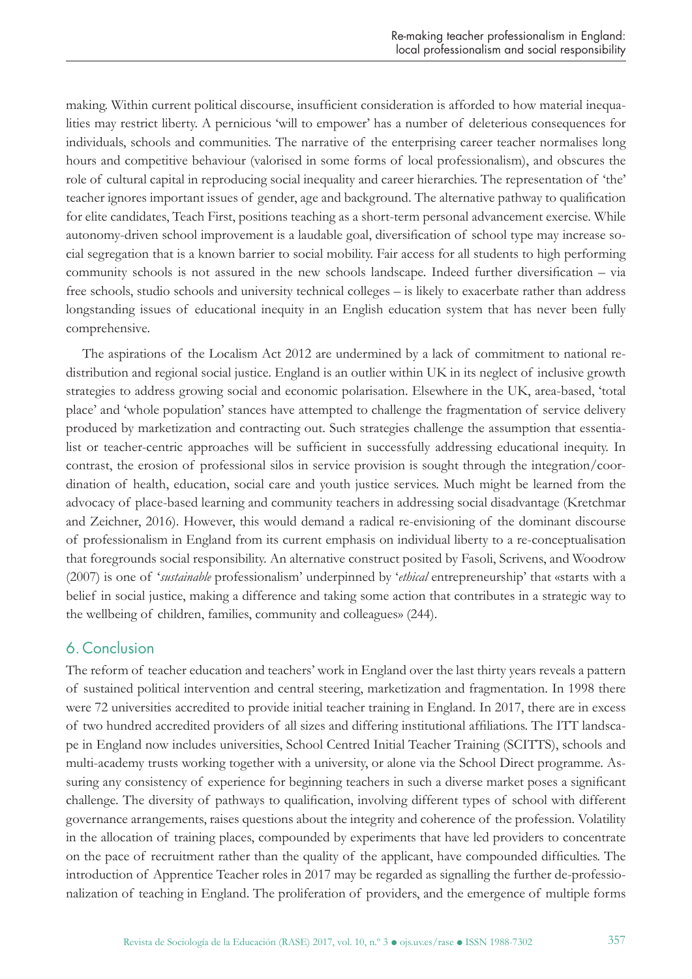making. Within current political discourse, insufficient consideration is afforded to how material inequalities may restrict liberty. A pernicious 'will to empower' has a number of deleterious consequences for individuals, schools and communities. The narrative of the enterprising career teacher normalises long hours and competitive behaviour (valorised in some forms of local professionalism), and obscures the role of cultural capital in reproducing social inequality and career hierarchies. The representation of 'the' teacher ignores important issues of gender, age and background. The alternative pathway to qualification for elite candidates, Teach First, positions teaching as a short-term personal advancement exercise. While autonomy-driven school improvement is a laudable goal, diversification of school type may increase social segregation that is a known barrier to social mobility. Fair access for all students to high performing community schools is not assured in the new schools landscape. Indeed further diversification – via free schools, studio schools and university technical colleges – is likely to exacerbate rather than address longstanding issues of educational inequity in an English education system that has never been fully comprehensive.

The aspirations of the Localism Act 2012 are undermined by a lack of commitment to national redistribution and regional social justice. England is an outlier within UK in its neglect of inclusive growth strategies to address growing social and economic polarisation. Elsewhere in the UK, area-based, 'total place' and 'whole population' stances have attempted to challenge the fragmentation of service delivery produced by marketization and contracting out. Such strategies challenge the assumption that essentialist or teacher-centric approaches will be sufficient in successfully addressing educational inequity. In contrast, the erosion of professional silos in service provision is sought through the integration/coordination of health, education, social care and youth justice services. Much might be learned from the advocacy of place-based learning and community teachers in addressing social disadvantage (Kretchmar and Zeichner, 2016). However, this would demand a radical re-envisioning of the dominant discourse of professionalism in England from its current emphasis on individual liberty to a re-conceptualisation that foregrounds social responsibility. An alternative construct posited by Fasoli, Scrivens, and Woodrow (2007) is one of '*sustainable* professionalism' underpinned by '*ethical* entrepreneurship' that «starts with a belief in social justice, making a difference and taking some action that contributes in a strategic way to the wellbeing of children, families, community and colleagues» (244).

## 6. Conclusion

The reform of teacher education and teachers' work in England over the last thirty years reveals a pattern of sustained political intervention and central steering, marketization and fragmentation. In 1998 there were 72 universities accredited to provide initial teacher training in England. In 2017, there are in excess of two hundred accredited providers of all sizes and differing institutional affiliations. The ITT landscape in England now includes universities, School Centred Initial Teacher Training (SCITTS), schools and multi-academy trusts working together with a university, or alone via the School Direct programme. Assuring any consistency of experience for beginning teachers in such a diverse market poses a significant challenge. The diversity of pathways to qualification, involving different types of school with different governance arrangements, raises questions about the integrity and coherence of the profession. Volatility in the allocation of training places, compounded by experiments that have led providers to concentrate on the pace of recruitment rather than the quality of the applicant, have compounded difficulties. The introduction of Apprentice Teacher roles in 2017 may be regarded as signalling the further de-professionalization of teaching in England. The proliferation of providers, and the emergence of multiple forms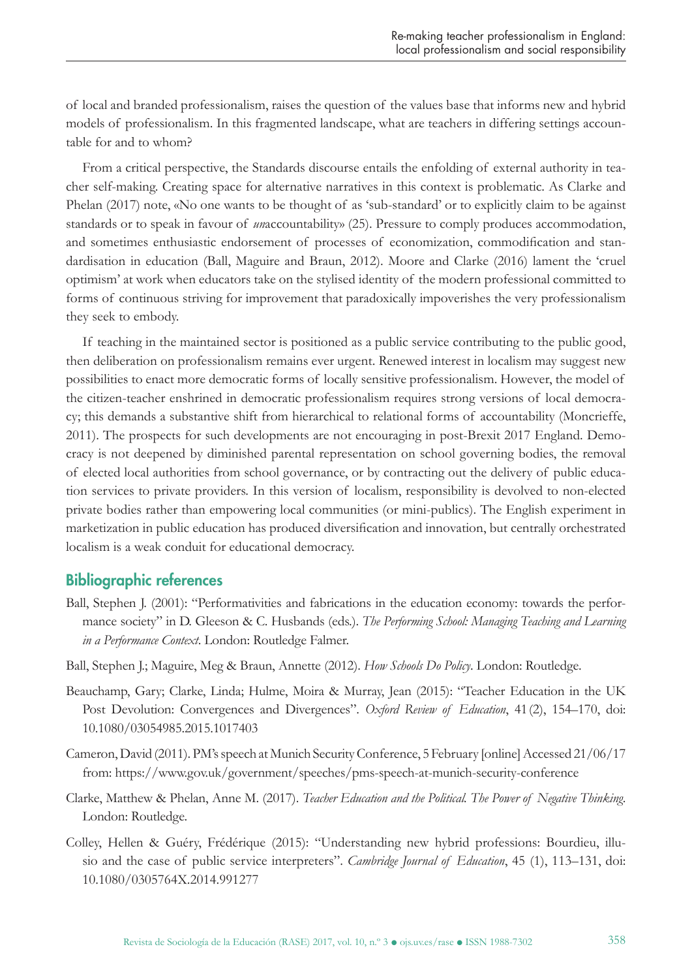of local and branded professionalism, raises the question of the values base that informs new and hybrid models of professionalism. In this fragmented landscape, what are teachers in differing settings accountable for and to whom?

From a critical perspective, the Standards discourse entails the enfolding of external authority in teacher self-making. Creating space for alternative narratives in this context is problematic. As Clarke and Phelan (2017) note, «No one wants to be thought of as 'sub-standard' or to explicitly claim to be against standards or to speak in favour of *un*accountability» (25). Pressure to comply produces accommodation, and sometimes enthusiastic endorsement of processes of economization, commodification and standardisation in education (Ball, Maguire and Braun, 2012). Moore and Clarke (2016) lament the 'cruel optimism' at work when educators take on the stylised identity of the modern professional committed to forms of continuous striving for improvement that paradoxically impoverishes the very professionalism they seek to embody.

If teaching in the maintained sector is positioned as a public service contributing to the public good, then deliberation on professionalism remains ever urgent. Renewed interest in localism may suggest new possibilities to enact more democratic forms of locally sensitive professionalism. However, the model of the citizen-teacher enshrined in democratic professionalism requires strong versions of local democracy; this demands a substantive shift from hierarchical to relational forms of accountability (Moncrieffe, 2011). The prospects for such developments are not encouraging in post-Brexit 2017 England. Democracy is not deepened by diminished parental representation on school governing bodies, the removal of elected local authorities from school governance, or by contracting out the delivery of public education services to private providers. In this version of localism, responsibility is devolved to non-elected private bodies rather than empowering local communities (or mini-publics). The English experiment in marketization in public education has produced diversification and innovation, but centrally orchestrated localism is a weak conduit for educational democracy.

#### Bibliographic references

- Ball, Stephen J. (2001): "Performativities and fabrications in the education economy: towards the performance society" in D. Gleeson & C. Husbands (eds.). *The Performing School: Managing Teaching and Learning in a Performance Context*. London: Routledge Falmer.
- Ball, Stephen J.; Maguire, Meg & Braun, Annette (2012). *How Schools Do Policy*. London: Routledge.
- Beauchamp, Gary; Clarke, Linda; Hulme, Moira & Murray, Jean (2015): "Teacher Education in the UK Post Devolution: Convergences and Divergences". *Oxford Review of Education*, 41(2), 154–170, doi: 10.1080/03054985.2015.1017403
- Cameron, David (2011). PM's speech at Munich Security Conference, 5 February [online] Accessed 21/06/17 from: https://www.gov.uk/government/speeches/pms-speech-at-munich-security-conference
- Clarke, Matthew & Phelan, Anne M. (2017). *Teacher Education and the Political. The Power of Negative Thinking*. London: Routledge.
- Colley, Hellen & Guéry, Frédérique (2015): "Understanding new hybrid professions: Bourdieu, illusio and the case of public service interpreters". *Cambridge Journal of Education*, 45 (1), 113–131, doi: 10.1080/0305764X.2014.991277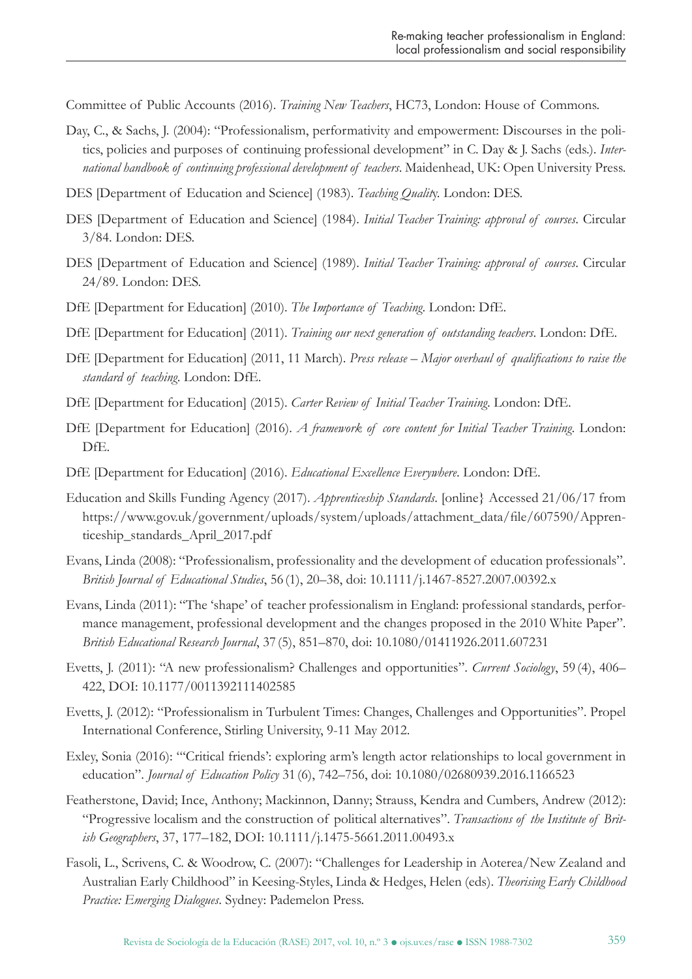Committee of Public Accounts (2016). *Training New Teachers*, HC73, London: House of Commons.

- Day, C., & Sachs, J. (2004): "Professionalism, performativity and empowerment: Discourses in the politics, policies and purposes of continuing professional development" in C. Day & J. Sachs (eds.). *International handbook of continuing professional development of teachers*. Maidenhead, UK: Open University Press.
- DES [Department of Education and Science] (1983). *Teaching Qualit*y. London: DES.
- DES [Department of Education and Science] (1984). *Initial Teacher Training: approval of courses*. Circular 3/84. London: DES.
- DES [Department of Education and Science] (1989). *Initial Teacher Training: approval of courses*. Circular 24/89. London: DES.
- DfE [Department for Education] (2010). *The Importance of Teaching*. London: DfE.
- DfE [Department for Education] (2011). *Training our next generation of outstanding teachers*. London: DfE.
- DfE [Department for Education] (2011, 11 March). *Press release Major overhaul of qualifications to raise the standard of teaching*. London: DfE.
- DfE [Department for Education] (2015). *Carter Review of Initial Teacher Training*. London: DfE.
- DfE [Department for Education] (2016). *A framework of core content for Initial Teacher Training*. London: DfE.
- DfE [Department for Education] (2016). *Educational Excellence Everywhere*. London: DfE.
- Education and Skills Funding Agency (2017). *Apprenticeship Standards*. [online} Accessed 21/06/17 from https://www.gov.uk/government/uploads/system/uploads/attachment\_data/file/607590/Apprenticeship\_standards\_April\_2017.pdf
- Evans, Linda (2008): "Professionalism, professionality and the development of education professionals". *British Journal of Educational Studies*, 56 (1), 20–38, doi: 10.1111/j.1467-8527.2007.00392.x
- Evans, Linda (2011): "The 'shape' of teacher professionalism in England: professional standards, performance management, professional development and the changes proposed in the 2010 White Paper". *British Educational Research Journal*, 37 (5), 851–870, doi: 10.1080/01411926.2011.607231
- Evetts, J. (2011): "A new professionalism? Challenges and opportunities". *Current Sociology*, 59 (4), 406– 422, DOI: 10.1177/0011392111402585
- Evetts, J. (2012): "Professionalism in Turbulent Times: Changes, Challenges and Opportunities". Propel International Conference, Stirling University, 9-11 May 2012.
- Exley, Sonia (2016): "'Critical friends': exploring arm's length actor relationships to local government in education". *Journal of Education Policy* 31 (6), 742–756, doi: 10.1080/02680939.2016.1166523
- Featherstone, David; Ince, Anthony; Mackinnon, Danny; Strauss, Kendra and Cumbers, Andrew (2012): "Progressive localism and the construction of political alternatives". *Transactions of the Institute of British Geographers*, 37, 177–182, DOI: 10.1111/j.1475-5661.2011.00493.x
- Fasoli, L., Scrivens, C. & Woodrow, C. (2007): "Challenges for Leadership in Aoterea/New Zealand and Australian Early Childhood" in Keesing-Styles, Linda & Hedges, Helen (eds). *Theorising Early Childhood Practice: Emerging Dialogues*. Sydney: Pademelon Press.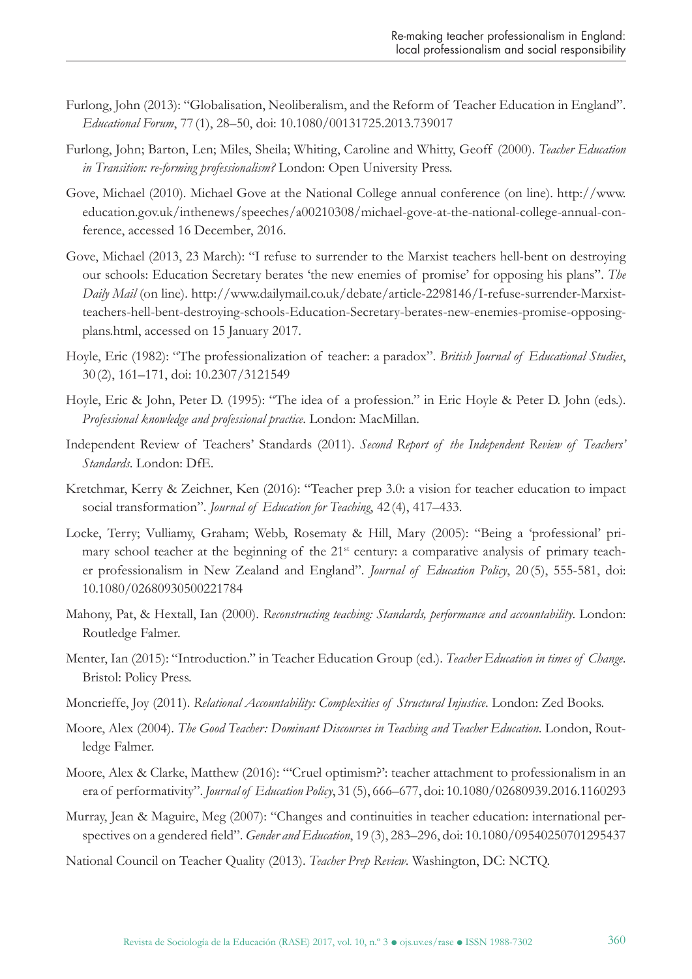- Furlong, John (2013): "Globalisation, Neoliberalism, and the Reform of Teacher Education in England". *Educational Forum*, 77 (1), 28–50, doi: 10.1080/00131725.2013.739017
- Furlong, John; Barton, Len; Miles, Sheila; Whiting, Caroline and Whitty, Geoff (2000). *Teacher Education in Transition: re-forming professionalism?* London: Open University Press.
- Gove, Michael (2010). Michael Gove at the National College annual conference (on line). http://www. education.gov.uk/inthenews/speeches/a00210308/michael-gove-at-the-national-college-annual-conference, accessed 16 December, 2016.
- Gove, Michael (2013, 23 March): "I refuse to surrender to the Marxist teachers hell-bent on destroying our schools: Education Secretary berates 'the new enemies of promise' for opposing his plans". *The Daily Mail* (on line). http://www.dailymail.co.uk/debate/article-2298146/I-refuse-surrender-Marxistteachers-hell-bent-destroying-schools-Education-Secretary-berates-new-enemies-promise-opposingplans.html, accessed on 15 January 2017.
- Hoyle, Eric (1982): "The professionalization of teacher: a paradox". *British Journal of Educational Studies*, 30 (2), 161–171, doi: 10.2307/3121549
- Hoyle, Eric & John, Peter D. (1995): "The idea of a profession." in Eric Hoyle & Peter D. John (eds.). *Professional knowledge and professional practice*. London: MacMillan.
- Independent Review of Teachers' Standards (2011). *Second Report of the Independent Review of Teachers' Standards*. London: DfE.
- Kretchmar, Kerry & Zeichner, Ken (2016): "Teacher prep 3.0: a vision for teacher education to impact social transformation". *Journal of Education for Teaching*, 42 (4), 417–433.
- Locke, Terry; Vulliamy, Graham; Webb, Rosematy & Hill, Mary (2005): "Being a 'professional' primary school teacher at the beginning of the 21<sup>st</sup> century: a comparative analysis of primary teacher professionalism in New Zealand and England". *Journal of Education Policy*, 20 (5), 555-581, doi: 10.1080/02680930500221784
- Mahony, Pat, & Hextall, Ian (2000). *Reconstructing teaching: Standards, performance and accountability*. London: Routledge Falmer.
- Menter, Ian (2015): "Introduction." in Teacher Education Group (ed.). *Teacher Education in times of Change*. Bristol: Policy Press.
- Moncrieffe, Joy (2011). *Relational Accountability: Complexities of Structural Injustice*. London: Zed Books.
- Moore, Alex (2004). *The Good Teacher: Dominant Discourses in Teaching and Teacher Education*. London, Routledge Falmer.
- Moore, Alex & Clarke, Matthew (2016): "'Cruel optimism?': teacher attachment to professionalism in an era of performativity". *Journal of Education Policy*, 31 (5), 666–677, doi: 10.1080/02680939.2016.1160293
- Murray, Jean & Maguire, Meg (2007): "Changes and continuities in teacher education: international perspectives on a gendered field". *Gender and Education*, 19 (3), 283–296, doi: 10.1080/09540250701295437
- National Council on Teacher Quality (2013). *Teacher Prep Review*. Washington, DC: NCTQ.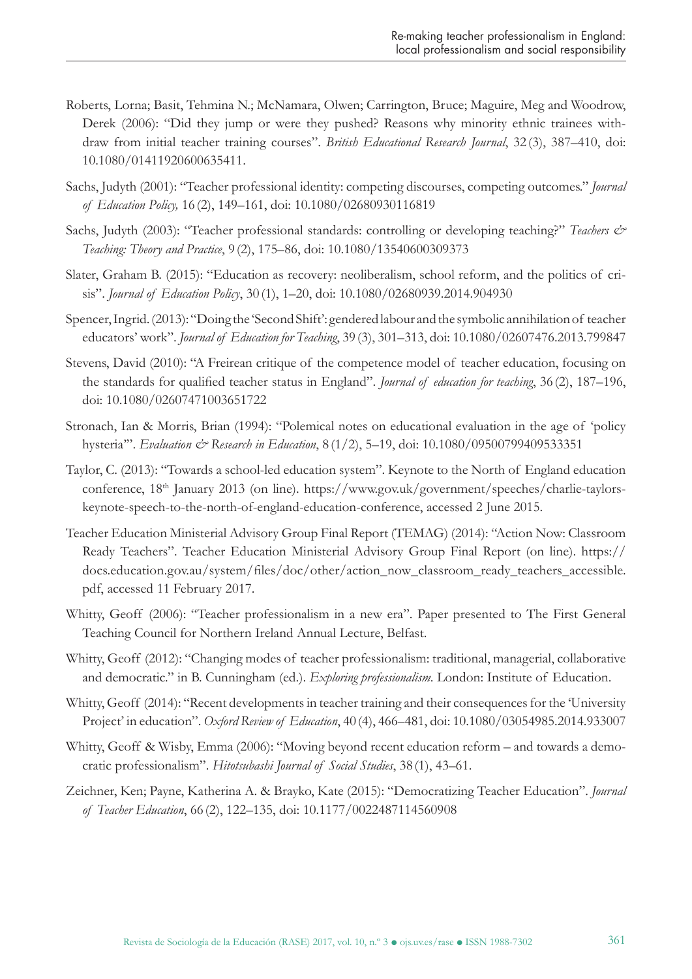- Roberts, Lorna; Basit, Tehmina N.; McNamara, Olwen; Carrington, Bruce; Maguire, Meg and Woodrow, Derek (2006): "Did they jump or were they pushed? Reasons why minority ethnic trainees withdraw from initial teacher training courses". *British Educational Research Journal*, 32 (3), 387–410, doi: 10.1080/01411920600635411.
- Sachs, Judyth (2001): "Teacher professional identity: competing discourses, competing outcomes." *Journal of Education Policy,* 16 (2), 149–161, doi: 10.1080/02680930116819
- Sachs, Judyth (2003): "Teacher professional standards: controlling or developing teaching?" *Teachers & Teaching: Theory and Practice*, 9 (2), 175–86, doi: 10.1080/13540600309373
- Slater, Graham B. (2015): "Education as recovery: neoliberalism, school reform, and the politics of crisis". *Journal of Education Policy*, 30 (1), 1–20, doi: 10.1080/02680939.2014.904930
- Spencer, Ingrid. (2013): "Doing the 'Second Shift': gendered labour and the symbolic annihilation of teacher educators' work". *Journal of Education for Teaching*, 39 (3), 301–313, doi: 10.1080/02607476.2013.799847
- Stevens, David (2010): "A Freirean critique of the competence model of teacher education, focusing on the standards for qualified teacher status in England". *Journal of education for teaching*, 36 (2), 187–196, doi: 10.1080/02607471003651722
- Stronach, Ian & Morris, Brian (1994): "Polemical notes on educational evaluation in the age of 'policy hysteria'". *Evaluation & Research in Education*, 8 (1/2), 5–19, doi: 10.1080/09500799409533351
- Taylor, C. (2013): "Towards a school-led education system". Keynote to the North of England education conference, 18<sup>th</sup> January 2013 (on line). https://www.gov.uk/government/speeches/charlie-taylorskeynote-speech-to-the-north-of-england-education-conference, accessed 2 June 2015.
- Teacher Education Ministerial Advisory Group Final Report (TEMAG) (2014): "Action Now: Classroom Ready Teachers". Teacher Education Ministerial Advisory Group Final Report (on line). https:// docs.education.gov.au/system/files/doc/other/action\_now\_classroom\_ready\_teachers\_accessible. pdf, accessed 11 February 2017.
- Whitty, Geoff (2006): "Teacher professionalism in a new era". Paper presented to The First General Teaching Council for Northern Ireland Annual Lecture, Belfast.
- Whitty, Geoff (2012): "Changing modes of teacher professionalism: traditional, managerial, collaborative and democratic." in B. Cunningham (ed.). *Exploring professionalism*. London: Institute of Education.
- Whitty, Geoff (2014): "Recent developments in teacher training and their consequences for the 'University Project' in education". *Oxford Review of Education*, 40 (4), 466–481, doi: 10.1080/03054985.2014.933007
- Whitty, Geoff & Wisby, Emma (2006): "Moving beyond recent education reform and towards a democratic professionalism". *Hitotsubashi Journal of Social Studies*, 38 (1), 43–61.
- Zeichner, Ken; Payne, Katherina A. & Brayko, Kate (2015): "Democratizing Teacher Education". *Journal of Teacher Education*, 66 (2), 122–135, doi: 10.1177/0022487114560908